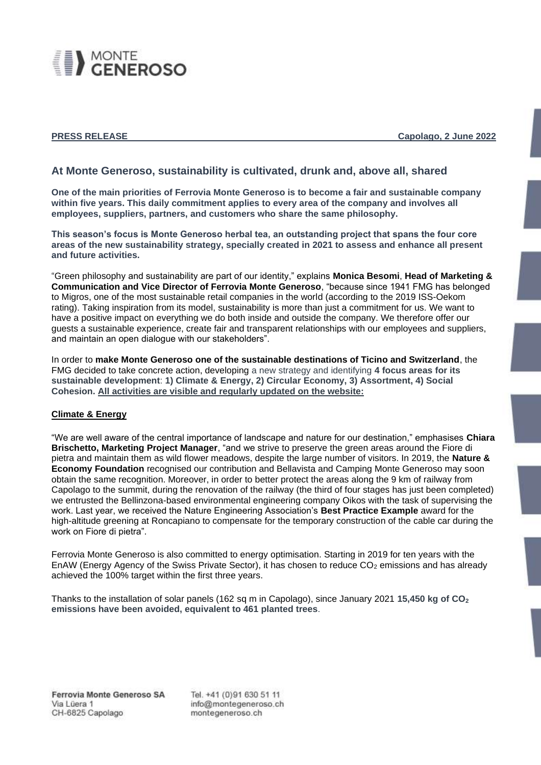

**PRESS RELEASE CAPOLAGE CAPACITY CAPOCAL CAPOLAGE CAPOCAL CAPOCAL CAPOCAL CAPOCAL CAPOCAL CAPOCAL CAPOCAL CAPOCAL CAPOCAL CAPOCAL CAPOCAL CAPOCAL CAPOCAL CAPOCAL CAPOCAL CAPOCAL CAPOCAL CAPOCAL CAPOCAL CAPOCAL CAPOCAL CA** 

# **At Monte Generoso, sustainability is cultivated, drunk and, above all, shared**

**One of the main priorities of Ferrovia Monte Generoso is to become a fair and sustainable company within five years. This daily commitment applies to every area of the company and involves all employees, suppliers, partners, and customers who share the same philosophy.** 

**This season's focus is Monte Generoso herbal tea, an outstanding project that spans the four core areas of the new sustainability strategy, specially created in 2021 to assess and enhance all present and future activities.**

"Green philosophy and sustainability are part of our identity," explains **Monica Besomi**, **Head of Marketing & Communication and Vice Director of Ferrovia Monte Generoso**, "because since 1941 FMG has belonged to Migros, one of the most sustainable retail companies in the world (according to the 2019 ISS-Oekom rating). Taking inspiration from its model, sustainability is more than just a commitment for us. We want to have a positive impact on everything we do both inside and outside the company. We therefore offer our guests a sustainable experience, create fair and transparent relationships with our employees and suppliers, and maintain an open dialogue with our stakeholders".

In order to **make Monte Generoso one of the sustainable destinations of Ticino and Switzerland**, the FMG decided to take concrete action, developing a new strategy and identifying **4 focus areas for its sustainable development**: **1) Climate & Energy, 2) Circular Economy, 3) Assortment, 4) Social Cohesion. All activities are visible and regularly updated on the website:**

## **Climate & Energy**

"We are well aware of the central importance of landscape and nature for our destination," emphasises **Chiara Brischetto, Marketing Project Manager**, "and we strive to preserve the green areas around the Fiore di pietra and maintain them as wild flower meadows, despite the large number of visitors. In 2019, the **Nature & Economy Foundation** recognised our contribution and Bellavista and Camping Monte Generoso may soon obtain the same recognition. Moreover, in order to better protect the areas along the 9 km of railway from Capolago to the summit, during the renovation of the railway (the third of four stages has just been completed) we entrusted the Bellinzona-based environmental engineering company Oikos with the task of supervising the work. Last year, we received the Nature Engineering Association's **Best Practice Example** award for the high-altitude greening at Roncapiano to compensate for the temporary construction of the cable car during the work on Fiore di pietra".

Ferrovia Monte Generoso is also committed to energy optimisation. Starting in 2019 for ten years with the EnAW (Energy Agency of the Swiss Private Sector), it has chosen to reduce CO<sub>2</sub> emissions and has already achieved the 100% target within the first three years.

Thanks to the installation of solar panels (162 sq m in Capolago), since January 2021 **15,450 kg of CO<sup>2</sup> emissions have been avoided, equivalent to 461 planted trees**.

Ferrovia Monte Generoso SA Via Lüera 1 CH-6825 Capolago

Tel. +41 (0)91 630 51 11 info@montegeneroso.ch montegeneroso.ch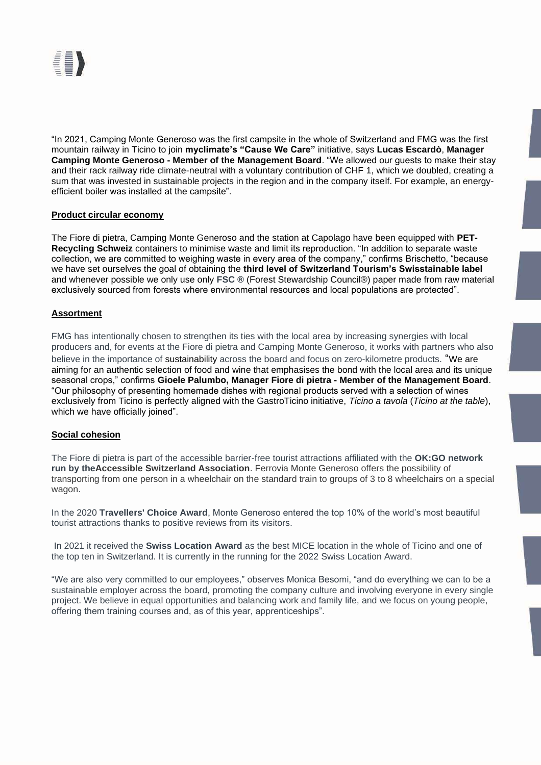

"In 2021, Camping Monte Generoso was the first campsite in the whole of Switzerland and FMG was the first mountain railway in Ticino to join **myclimate's "Cause We Care"** initiative, says **Lucas Escardò**, **Manager Camping Monte Generoso - Member of the Management Board**. "We allowed our guests to make their stay and their rack railway ride climate-neutral with a voluntary contribution of CHF 1, which we doubled, creating a sum that was invested in sustainable projects in the region and in the company itself. For example, an energyefficient boiler was installed at the campsite".

## **Product circular economy**

The Fiore di pietra, Camping Monte Generoso and the station at Capolago have been equipped with **PET-Recycling Schweiz** containers to minimise waste and limit its reproduction. "In addition to separate waste collection, we are committed to weighing waste in every area of the company," confirms Brischetto, "because we have set ourselves the goal of obtaining the **third level of Switzerland Tourism's Swisstainable label** and whenever possible we only use only **FSC ®** (Forest Stewardship Council®) paper made from raw material exclusively sourced from forests where environmental resources and local populations are protected".

# **Assortment**

FMG has intentionally chosen to strengthen its ties with the local area by increasing synergies with local producers and, for events at the Fiore di pietra and Camping Monte Generoso, it works with partners who also believe in the importance of sustainability across the board and focus on zero-kilometre products. "We are aiming for an authentic selection of food and wine that emphasises the bond with the local area and its unique seasonal crops," confirms **Gioele Palumbo, Manager Fiore di pietra - Member of the Management Board**. "Our philosophy of presenting homemade dishes with regional products served with a selection of wines exclusively from Ticino is perfectly aligned with the GastroTicino initiative, *Ticino a tavola* (*Ticino at the table*), which we have officially joined".

## **Social cohesion**

The Fiore di pietra is part of the accessible barrier-free tourist attractions affiliated with the **OK:GO network run by theAccessible Switzerland Association**. Ferrovia Monte Generoso offers the possibility of transporting from one person in a wheelchair on the standard train to groups of 3 to 8 wheelchairs on a special wagon.

In the 2020 **Travellers' Choice Award**, Monte Generoso entered the top 10% of the world's most beautiful tourist attractions thanks to positive reviews from its visitors.

In 2021 it received the **Swiss Location Award** as the best MICE location in the whole of Ticino and one of the top ten in Switzerland. It is currently in the running for the 2022 Swiss Location Award.

"We are also very committed to our employees," observes Monica Besomi, "and do everything we can to be a sustainable employer across the board, promoting the company culture and involving everyone in every single project. We believe in equal opportunities and balancing work and family life, and we focus on young people, offering them training courses and, as of this year, apprenticeships".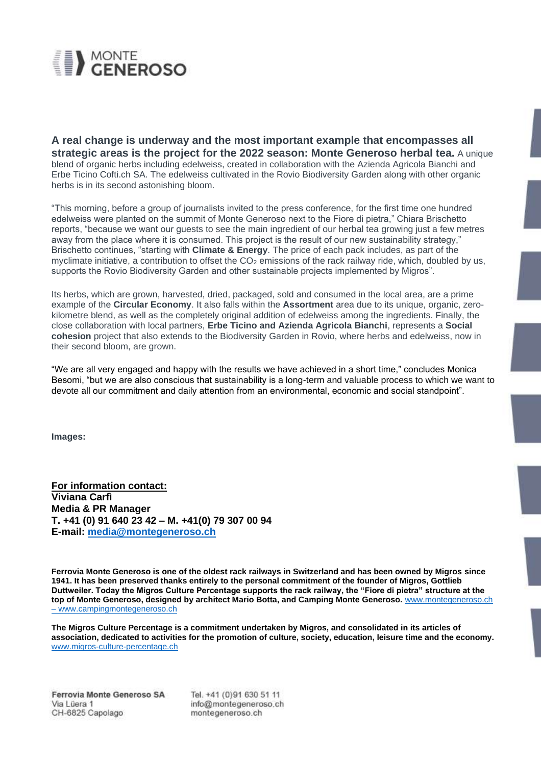

**A real change is underway and the most important example that encompasses all strategic areas is the project for the 2022 season: Monte Generoso herbal tea.** A unique blend of organic herbs including edelweiss, created in collaboration with the Azienda Agricola Bianchi and Erbe Ticino Cofti.ch SA. The edelweiss cultivated in the Rovio Biodiversity Garden along with other organic herbs is in its second astonishing bloom.

"This morning, before a group of journalists invited to the press conference, for the first time one hundred edelweiss were planted on the summit of Monte Generoso next to the Fiore di pietra," Chiara Brischetto reports, "because we want our guests to see the main ingredient of our herbal tea growing just a few metres away from the place where it is consumed. This project is the result of our new sustainability strategy," Brischetto continues, "starting with **Climate & Energy**. The price of each pack includes, as part of the myclimate initiative, a contribution to offset the  $CO<sub>2</sub>$  emissions of the rack railway ride, which, doubled by us, supports the Rovio Biodiversity Garden and other sustainable projects implemented by Migros".

Its herbs, which are grown, harvested, dried, packaged, sold and consumed in the local area, are a prime example of the **Circular Economy**. It also falls within the **Assortment** area due to its unique, organic, zerokilometre blend, as well as the completely original addition of edelweiss among the ingredients. Finally, the close collaboration with local partners, **Erbe Ticino and Azienda Agricola Bianchi**, represents a **Social cohesion** project that also extends to the Biodiversity Garden in Rovio, where herbs and edelweiss, now in their second bloom, are grown.

"We are all very engaged and happy with the results we have achieved in a short time," concludes Monica Besomi, "but we are also conscious that sustainability is a long-term and valuable process to which we want to devote all our commitment and daily attention from an environmental, economic and social standpoint".

**Images:**

**For information contact: Viviana Carfì Media & PR Manager T. +41 (0) 91 640 23 42 – M. +41(0) 79 307 00 94 E-mail: [media@montegeneroso.ch](mailto:media@montegeneroso.ch)**

**Ferrovia Monte Generoso is one of the oldest rack railways in Switzerland and has been owned by Migros since 1941. It has been preserved thanks entirely to the personal commitment of the founder of Migros, Gottlieb Duttweiler. Today the Migros Culture Percentage supports the rack railway, the "Fiore di pietra" structure at the top of Monte Generoso, designed by architect Mario Botta, and Camping Monte Generoso.** [www.montegeneroso.ch](https://www.montegeneroso.ch/en) – [www.campingmontegeneroso.ch](http://www.campingmontegeneroso.ch/)

**The Migros Culture Percentage is a commitment undertaken by Migros, and consolidated in its articles of association, dedicated to activities for the promotion of culture, society, education, leisure time and the economy.**  [www.migros-culture-percentage.ch](https://www.migros-engagement.ch/en/culture-percentage)

Tel. +41 (0)91 630 51 11 info@montegeneroso.ch montegeneroso.ch